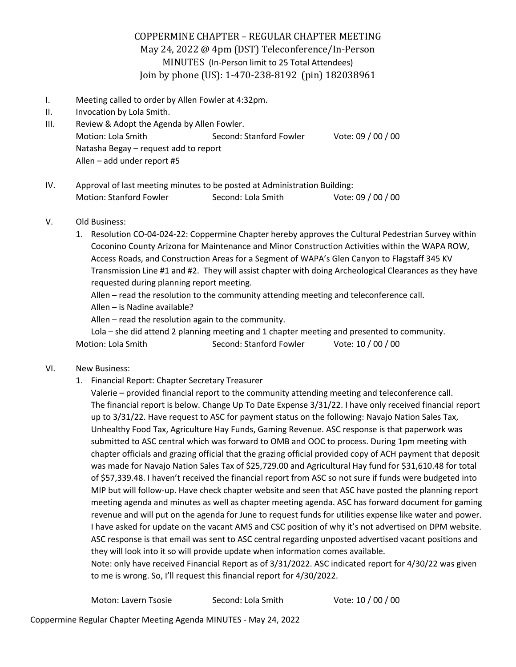# COPPERMINE CHAPTER - REGULAR CHAPTER MEETING May 24, 2022 @ 4pm (DST) Teleconference/In-Person MINUTES (In-Person limit to 25 Total Attendees) Join by phone (US): 1-470-238-8192 (pin) 182038961

- I. Meeting called to order by Allen Fowler at 4:32pm.
- II. Invocation by Lola Smith.
- III. Review & Adopt the Agenda by Allen Fowler. Motion: Lola Smith Second: Stanford Fowler Vote: 09 / 00 / 00 Natasha Begay – request add to report Allen – add under report #5
- IV. Approval of last meeting minutes to be posted at Administration Building: Motion: Stanford Fowler Second: Lola Smith Vote: 09 / 00 / 00

## V. Old Business:

1. Resolution CO-04-024-22: Coppermine Chapter hereby approves the Cultural Pedestrian Survey within Coconino County Arizona for Maintenance and Minor Construction Activities within the WAPA ROW, Access Roads, and Construction Areas for a Segment of WAPA's Glen Canyon to Flagstaff 345 KV Transmission Line #1 and #2. They will assist chapter with doing Archeological Clearances as they have requested during planning report meeting.

Allen – read the resolution to the community attending meeting and teleconference call.

Allen – is Nadine available?

Allen – read the resolution again to the community.

Lola – she did attend 2 planning meeting and 1 chapter meeting and presented to community. Motion: Lola Smith Second: Stanford Fowler Vote: 10 / 00 / 00

## VI. New Business:

1. Financial Report: Chapter Secretary Treasurer

Valerie – provided financial report to the community attending meeting and teleconference call. The financial report is below. Change Up To Date Expense 3/31/22. I have only received financial report up to 3/31/22. Have request to ASC for payment status on the following: Navajo Nation Sales Tax, Unhealthy Food Tax, Agriculture Hay Funds, Gaming Revenue. ASC response is that paperwork was submitted to ASC central which was forward to OMB and OOC to process. During 1pm meeting with chapter officials and grazing official that the grazing official provided copy of ACH payment that deposit was made for Navajo Nation Sales Tax of \$25,729.00 and Agricultural Hay fund for \$31,610.48 for total of \$57,339.48. I haven't received the financial report from ASC so not sure if funds were budgeted into MIP but will follow-up. Have check chapter website and seen that ASC have posted the planning report meeting agenda and minutes as well as chapter meeting agenda. ASC has forward document for gaming revenue and will put on the agenda for June to request funds for utilities expense like water and power. I have asked for update on the vacant AMS and CSC position of why it's not advertised on DPM website. ASC response is that email was sent to ASC central regarding unposted advertised vacant positions and they will look into it so will provide update when information comes available.

Note: only have received Financial Report as of 3/31/2022. ASC indicated report for 4/30/22 was given to me is wrong. So, I'll request this financial report for 4/30/2022.

| Moton: Lavern Tsosie | Second: Lola Smith | Vote: 10 / 00 / 00 |
|----------------------|--------------------|--------------------|
|----------------------|--------------------|--------------------|

Coppermine Regular Chapter Meeting Agenda MINUTES - May 24, 2022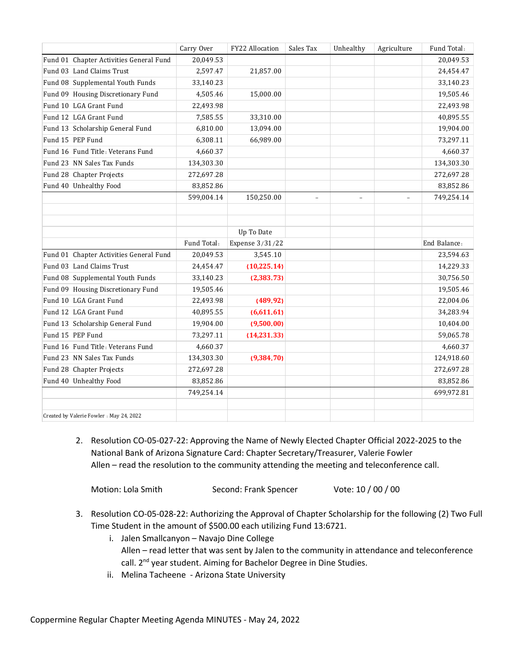|                                          | Carry Over  | FY22 Allocation | Sales Tax | Unhealthy                | Agriculture | Fund Total:  |
|------------------------------------------|-------------|-----------------|-----------|--------------------------|-------------|--------------|
| Fund 01 Chapter Activities General Fund  | 20,049.53   |                 |           |                          |             | 20,049.53    |
| Fund 03 Land Claims Trust                | 2,597.47    | 21,857.00       |           |                          |             | 24,454.47    |
| Fund 08 Supplemental Youth Funds         | 33,140.23   |                 |           |                          |             | 33,140.23    |
| Fund 09 Housing Discretionary Fund       | 4,505.46    | 15,000.00       |           |                          |             | 19,505.46    |
| Fund 10 LGA Grant Fund                   | 22,493.98   |                 |           |                          |             | 22,493.98    |
| Fund 12 LGA Grant Fund                   | 7,585.55    | 33,310.00       |           |                          |             | 40,895.55    |
| Fund 13 Scholarship General Fund         | 6,810.00    | 13,094.00       |           |                          |             | 19,904.00    |
| Fund 15 PEP Fund                         | 6,308.11    | 66,989.00       |           |                          |             | 73,297.11    |
| Fund 16 Fund Title: Veterans Fund        | 4,660.37    |                 |           |                          |             | 4,660.37     |
| Fund 23 NN Sales Tax Funds               | 134,303.30  |                 |           |                          |             | 134,303.30   |
| Fund 28 Chapter Projects                 | 272,697.28  |                 |           |                          |             | 272,697.28   |
| Fund 40 Unhealthy Food                   | 83,852.86   |                 |           |                          |             | 83,852.86    |
|                                          | 599,004.14  | 150,250.00      | $\equiv$  | $\overline{\phantom{a}}$ | $\equiv$    | 749,254.14   |
|                                          |             |                 |           |                          |             |              |
|                                          |             |                 |           |                          |             |              |
|                                          |             | Up To Date      |           |                          |             |              |
|                                          | Fund Total: | Expense 3/31/22 |           |                          |             | End Balance: |
| Fund 01 Chapter Activities General Fund  | 20,049.53   | 3,545.10        |           |                          |             | 23,594.63    |
| Fund 03 Land Claims Trust                | 24,454.47   | (10, 225.14)    |           |                          |             | 14,229.33    |
| Fund 08 Supplemental Youth Funds         | 33,140.23   | (2, 383.73)     |           |                          |             | 30,756.50    |
| Fund 09 Housing Discretionary Fund       | 19,505.46   |                 |           |                          |             | 19,505.46    |
| Fund 10 LGA Grant Fund                   | 22,493.98   | (489.92)        |           |                          |             | 22,004.06    |
| Fund 12 LGA Grant Fund                   | 40,895.55   | (6,611.61)      |           |                          |             | 34,283.94    |
| Fund 13 Scholarship General Fund         | 19,904.00   | (9,500.00)      |           |                          |             | 10,404.00    |
| Fund 15 PEP Fund                         | 73,297.11   | (14,231.33)     |           |                          |             | 59,065.78    |
| Fund 16 Fund Title: Veterans Fund        | 4,660.37    |                 |           |                          |             | 4,660.37     |
| Fund 23 NN Sales Tax Funds               | 134,303.30  | (9, 384.70)     |           |                          |             | 124,918.60   |
| Fund 28 Chapter Projects                 | 272,697.28  |                 |           |                          |             | 272,697.28   |
| Fund 40 Unhealthy Food                   | 83,852.86   |                 |           |                          |             | 83,852.86    |
|                                          | 749,254.14  |                 |           |                          |             | 699,972.81   |
|                                          |             |                 |           |                          |             |              |
| Created by Valerie Fowler : May 24, 2022 |             |                 |           |                          |             |              |

2. Resolution CO-05-027-22: Approving the Name of Newly Elected Chapter Official 2022-2025 to the National Bank of Arizona Signature Card: Chapter Secretary/Treasurer, Valerie Fowler Allen – read the resolution to the community attending the meeting and teleconference call.

- 3. Resolution CO-05-028-22: Authorizing the Approval of Chapter Scholarship for the following (2) Two Full Time Student in the amount of \$500.00 each utilizing Fund 13:6721.
	- i. Jalen Smallcanyon Navajo Dine College Allen – read letter that was sent by Jalen to the community in attendance and teleconference call. 2<sup>nd</sup> year student. Aiming for Bachelor Degree in Dine Studies.
	- ii. Melina Tacheene Arizona State University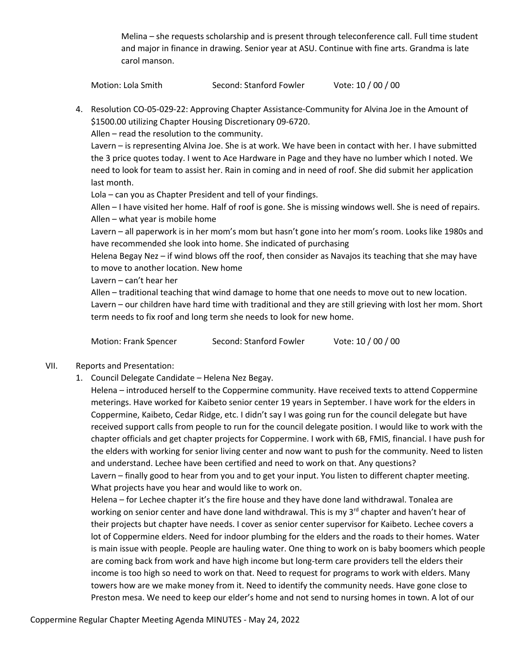Melina – she requests scholarship and is present through teleconference call. Full time student and major in finance in drawing. Senior year at ASU. Continue with fine arts. Grandma is late carol manson.

Motion: Lola Smith Second: Stanford Fowler Vote: 10 / 00 / 00

4. Resolution CO-05-029-22: Approving Chapter Assistance-Community for Alvina Joe in the Amount of \$1500.00 utilizing Chapter Housing Discretionary 09-6720.

Allen – read the resolution to the community.

Lavern – is representing Alvina Joe. She is at work. We have been in contact with her. I have submitted the 3 price quotes today. I went to Ace Hardware in Page and they have no lumber which I noted. We need to look for team to assist her. Rain in coming and in need of roof. She did submit her application last month.

Lola – can you as Chapter President and tell of your findings.

Allen – I have visited her home. Half of roof is gone. She is missing windows well. She is need of repairs. Allen – what year is mobile home

Lavern – all paperwork is in her mom's mom but hasn't gone into her mom's room. Looks like 1980s and have recommended she look into home. She indicated of purchasing

Helena Begay Nez – if wind blows off the roof, then consider as Navajos its teaching that she may have to move to another location. New home

Lavern – can't hear her

Allen – traditional teaching that wind damage to home that one needs to move out to new location.

Lavern – our children have hard time with traditional and they are still grieving with lost her mom. Short term needs to fix roof and long term she needs to look for new home.

Motion: Frank Spencer Second: Stanford Fowler Vote: 10 / 00 / 00

## VII. Reports and Presentation:

1. Council Delegate Candidate – Helena Nez Begay.

Helena – introduced herself to the Coppermine community. Have received texts to attend Coppermine meterings. Have worked for Kaibeto senior center 19 years in September. I have work for the elders in Coppermine, Kaibeto, Cedar Ridge, etc. I didn't say I was going run for the council delegate but have received support calls from people to run for the council delegate position. I would like to work with the chapter officials and get chapter projects for Coppermine. I work with 6B, FMIS, financial. I have push for the elders with working for senior living center and now want to push for the community. Need to listen and understand. Lechee have been certified and need to work on that. Any questions? Lavern – finally good to hear from you and to get your input. You listen to different chapter meeting. What projects have you hear and would like to work on.

Helena – for Lechee chapter it's the fire house and they have done land withdrawal. Tonalea are working on senior center and have done land withdrawal. This is my  $3<sup>rd</sup>$  chapter and haven't hear of their projects but chapter have needs. I cover as senior center supervisor for Kaibeto. Lechee covers a lot of Coppermine elders. Need for indoor plumbing for the elders and the roads to their homes. Water is main issue with people. People are hauling water. One thing to work on is baby boomers which people are coming back from work and have high income but long-term care providers tell the elders their income is too high so need to work on that. Need to request for programs to work with elders. Many towers how are we make money from it. Need to identify the community needs. Have gone close to Preston mesa. We need to keep our elder's home and not send to nursing homes in town. A lot of our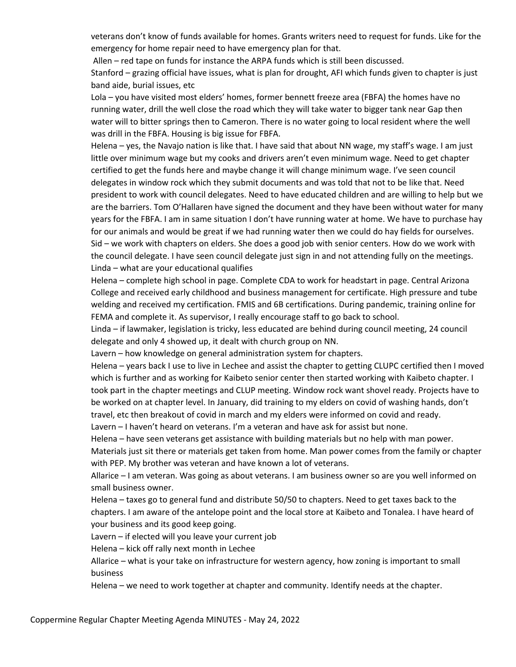veterans don't know of funds available for homes. Grants writers need to request for funds. Like for the emergency for home repair need to have emergency plan for that.

Allen – red tape on funds for instance the ARPA funds which is still been discussed. Stanford – grazing official have issues, what is plan for drought, AFI which funds given to chapter is just band aide, burial issues, etc

Lola – you have visited most elders' homes, former bennett freeze area (FBFA) the homes have no running water, drill the well close the road which they will take water to bigger tank near Gap then water will to bitter springs then to Cameron. There is no water going to local resident where the well was drill in the FBFA. Housing is big issue for FBFA.

Helena – yes, the Navajo nation is like that. I have said that about NN wage, my staff's wage. I am just little over minimum wage but my cooks and drivers aren't even minimum wage. Need to get chapter certified to get the funds here and maybe change it will change minimum wage. I've seen council delegates in window rock which they submit documents and was told that not to be like that. Need president to work with council delegates. Need to have educated children and are willing to help but we are the barriers. Tom O'Hallaren have signed the document and they have been without water for many years for the FBFA. I am in same situation I don't have running water at home. We have to purchase hay for our animals and would be great if we had running water then we could do hay fields for ourselves. Sid – we work with chapters on elders. She does a good job with senior centers. How do we work with the council delegate. I have seen council delegate just sign in and not attending fully on the meetings. Linda – what are your educational qualifies

Helena – complete high school in page. Complete CDA to work for headstart in page. Central Arizona College and received early childhood and business management for certificate. High pressure and tube welding and received my certification. FMIS and 6B certifications. During pandemic, training online for FEMA and complete it. As supervisor, I really encourage staff to go back to school.

Linda – if lawmaker, legislation is tricky, less educated are behind during council meeting, 24 council delegate and only 4 showed up, it dealt with church group on NN.

Lavern – how knowledge on general administration system for chapters.

Helena – years back I use to live in Lechee and assist the chapter to getting CLUPC certified then I moved which is further and as working for Kaibeto senior center then started working with Kaibeto chapter. I took part in the chapter meetings and CLUP meeting. Window rock want shovel ready. Projects have to be worked on at chapter level. In January, did training to my elders on covid of washing hands, don't travel, etc then breakout of covid in march and my elders were informed on covid and ready. Lavern – I haven't heard on veterans. I'm a veteran and have ask for assist but none.

Helena – have seen veterans get assistance with building materials but no help with man power.

Materials just sit there or materials get taken from home. Man power comes from the family or chapter with PEP. My brother was veteran and have known a lot of veterans.

Allarice – I am veteran. Was going as about veterans. I am business owner so are you well informed on small business owner.

Helena – taxes go to general fund and distribute 50/50 to chapters. Need to get taxes back to the chapters. I am aware of the antelope point and the local store at Kaibeto and Tonalea. I have heard of your business and its good keep going.

Lavern – if elected will you leave your current job

Helena – kick off rally next month in Lechee

Allarice – what is your take on infrastructure for western agency, how zoning is important to small business

Helena – we need to work together at chapter and community. Identify needs at the chapter.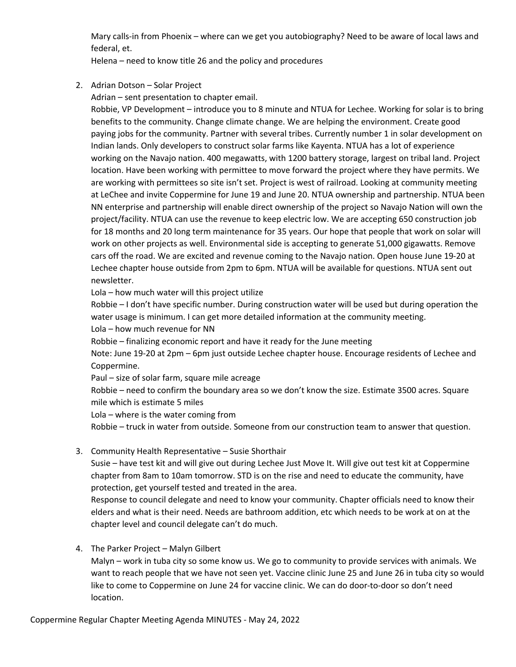Mary calls-in from Phoenix – where can we get you autobiography? Need to be aware of local laws and federal, et.

Helena – need to know title 26 and the policy and procedures

2. Adrian Dotson – Solar Project

Adrian – sent presentation to chapter email.

Robbie, VP Development – introduce you to 8 minute and NTUA for Lechee. Working for solar is to bring benefits to the community. Change climate change. We are helping the environment. Create good paying jobs for the community. Partner with several tribes. Currently number 1 in solar development on Indian lands. Only developers to construct solar farms like Kayenta. NTUA has a lot of experience working on the Navajo nation. 400 megawatts, with 1200 battery storage, largest on tribal land. Project location. Have been working with permittee to move forward the project where they have permits. We are working with permittees so site isn't set. Project is west of railroad. Looking at community meeting at LeChee and invite Coppermine for June 19 and June 20. NTUA ownership and partnership. NTUA been NN enterprise and partnership will enable direct ownership of the project so Navajo Nation will own the project/facility. NTUA can use the revenue to keep electric low. We are accepting 650 construction job for 18 months and 20 long term maintenance for 35 years. Our hope that people that work on solar will work on other projects as well. Environmental side is accepting to generate 51,000 gigawatts. Remove cars off the road. We are excited and revenue coming to the Navajo nation. Open house June 19-20 at Lechee chapter house outside from 2pm to 6pm. NTUA will be available for questions. NTUA sent out newsletter.

Lola – how much water will this project utilize

Robbie – I don't have specific number. During construction water will be used but during operation the water usage is minimum. I can get more detailed information at the community meeting. Lola – how much revenue for NN

Robbie – finalizing economic report and have it ready for the June meeting Note: June 19-20 at 2pm – 6pm just outside Lechee chapter house. Encourage residents of Lechee and

Coppermine.

Paul – size of solar farm, square mile acreage

Robbie – need to confirm the boundary area so we don't know the size. Estimate 3500 acres. Square mile which is estimate 5 miles

Lola – where is the water coming from

Robbie – truck in water from outside. Someone from our construction team to answer that question.

3. Community Health Representative – Susie Shorthair

Susie – have test kit and will give out during Lechee Just Move It. Will give out test kit at Coppermine chapter from 8am to 10am tomorrow. STD is on the rise and need to educate the community, have protection, get yourself tested and treated in the area.

Response to council delegate and need to know your community. Chapter officials need to know their elders and what is their need. Needs are bathroom addition, etc which needs to be work at on at the chapter level and council delegate can't do much.

4. The Parker Project – Malyn Gilbert

Malyn – work in tuba city so some know us. We go to community to provide services with animals. We want to reach people that we have not seen yet. Vaccine clinic June 25 and June 26 in tuba city so would like to come to Coppermine on June 24 for vaccine clinic. We can do door-to-door so don't need location.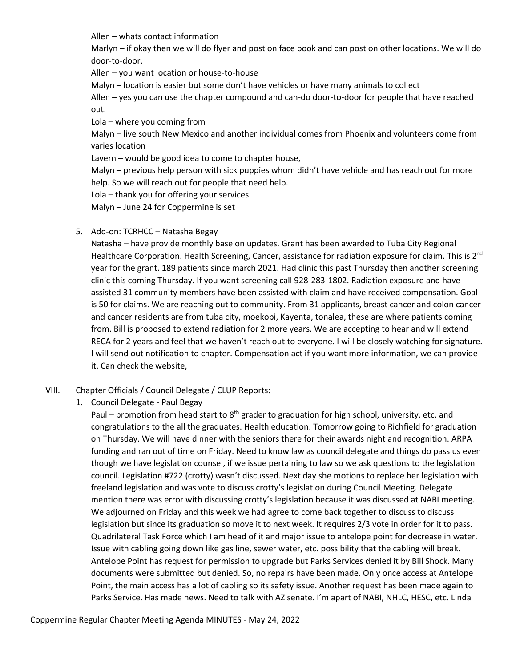Allen – whats contact information

Marlyn – if okay then we will do flyer and post on face book and can post on other locations. We will do door-to-door.

Allen – you want location or house-to-house

Malyn – location is easier but some don't have vehicles or have many animals to collect

Allen – yes you can use the chapter compound and can-do door-to-door for people that have reached out.

Lola – where you coming from

Malyn – live south New Mexico and another individual comes from Phoenix and volunteers come from varies location

Lavern – would be good idea to come to chapter house,

Malyn – previous help person with sick puppies whom didn't have vehicle and has reach out for more help. So we will reach out for people that need help.

Lola – thank you for offering your services

Malyn – June 24 for Coppermine is set

5. Add-on: TCRHCC – Natasha Begay

Natasha – have provide monthly base on updates. Grant has been awarded to Tuba City Regional Healthcare Corporation. Health Screening, Cancer, assistance for radiation exposure for claim. This is 2<sup>nd</sup> year for the grant. 189 patients since march 2021. Had clinic this past Thursday then another screening clinic this coming Thursday. If you want screening call 928-283-1802. Radiation exposure and have assisted 31 community members have been assisted with claim and have received compensation. Goal is 50 for claims. We are reaching out to community. From 31 applicants, breast cancer and colon cancer and cancer residents are from tuba city, moekopi, Kayenta, tonalea, these are where patients coming from. Bill is proposed to extend radiation for 2 more years. We are accepting to hear and will extend RECA for 2 years and feel that we haven't reach out to everyone. I will be closely watching for signature. I will send out notification to chapter. Compensation act if you want more information, we can provide it. Can check the website,

## VIII. Chapter Officials / Council Delegate / CLUP Reports:

1. Council Delegate - Paul Begay

Paul – promotion from head start to  $8<sup>th</sup>$  grader to graduation for high school, university, etc. and congratulations to the all the graduates. Health education. Tomorrow going to Richfield for graduation on Thursday. We will have dinner with the seniors there for their awards night and recognition. ARPA funding and ran out of time on Friday. Need to know law as council delegate and things do pass us even though we have legislation counsel, if we issue pertaining to law so we ask questions to the legislation council. Legislation #722 (crotty) wasn't discussed. Next day she motions to replace her legislation with freeland legislation and was vote to discuss crotty's legislation during Council Meeting. Delegate mention there was error with discussing crotty's legislation because it was discussed at NABI meeting. We adjourned on Friday and this week we had agree to come back together to discuss to discuss legislation but since its graduation so move it to next week. It requires 2/3 vote in order for it to pass. Quadrilateral Task Force which I am head of it and major issue to antelope point for decrease in water. Issue with cabling going down like gas line, sewer water, etc. possibility that the cabling will break. Antelope Point has request for permission to upgrade but Parks Services denied it by Bill Shock. Many documents were submitted but denied. So, no repairs have been made. Only once access at Antelope Point, the main access has a lot of cabling so its safety issue. Another request has been made again to Parks Service. Has made news. Need to talk with AZ senate. I'm apart of NABI, NHLC, HESC, etc. Linda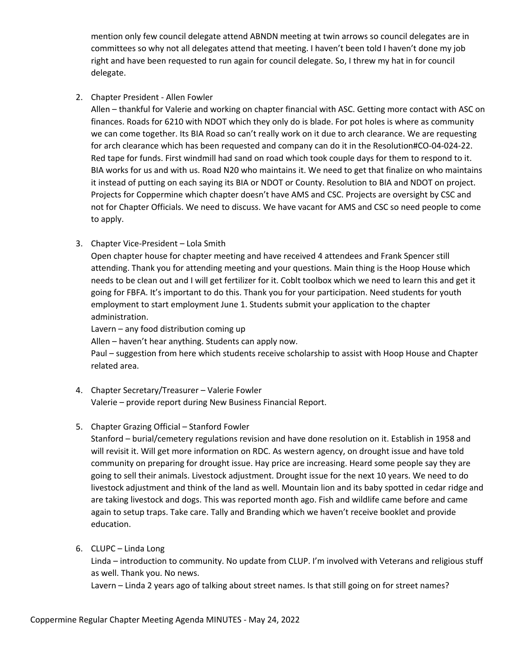mention only few council delegate attend ABNDN meeting at twin arrows so council delegates are in committees so why not all delegates attend that meeting. I haven't been told I haven't done my job right and have been requested to run again for council delegate. So, I threw my hat in for council delegate.

## 2. Chapter President - Allen Fowler

Allen – thankful for Valerie and working on chapter financial with ASC. Getting more contact with ASC on finances. Roads for 6210 with NDOT which they only do is blade. For pot holes is where as community we can come together. Its BIA Road so can't really work on it due to arch clearance. We are requesting for arch clearance which has been requested and company can do it in the Resolution#CO-04-024-22. Red tape for funds. First windmill had sand on road which took couple days for them to respond to it. BIA works for us and with us. Road N20 who maintains it. We need to get that finalize on who maintains it instead of putting on each saying its BIA or NDOT or County. Resolution to BIA and NDOT on project. Projects for Coppermine which chapter doesn't have AMS and CSC. Projects are oversight by CSC and not for Chapter Officials. We need to discuss. We have vacant for AMS and CSC so need people to come to apply.

## 3. Chapter Vice-President – Lola Smith

Open chapter house for chapter meeting and have received 4 attendees and Frank Spencer still attending. Thank you for attending meeting and your questions. Main thing is the Hoop House which needs to be clean out and I will get fertilizer for it. Coblt toolbox which we need to learn this and get it going for FBFA. It's important to do this. Thank you for your participation. Need students for youth employment to start employment June 1. Students submit your application to the chapter administration.

Lavern – any food distribution coming up

Allen – haven't hear anything. Students can apply now.

Paul – suggestion from here which students receive scholarship to assist with Hoop House and Chapter related area.

## 4. Chapter Secretary/Treasurer – Valerie Fowler

Valerie – provide report during New Business Financial Report.

## 5. Chapter Grazing Official – Stanford Fowler

Stanford – burial/cemetery regulations revision and have done resolution on it. Establish in 1958 and will revisit it. Will get more information on RDC. As western agency, on drought issue and have told community on preparing for drought issue. Hay price are increasing. Heard some people say they are going to sell their animals. Livestock adjustment. Drought issue for the next 10 years. We need to do livestock adjustment and think of the land as well. Mountain lion and its baby spotted in cedar ridge and are taking livestock and dogs. This was reported month ago. Fish and wildlife came before and came again to setup traps. Take care. Tally and Branding which we haven't receive booklet and provide education.

## 6. CLUPC – Linda Long

Linda – introduction to community. No update from CLUP. I'm involved with Veterans and religious stuff as well. Thank you. No news.

Lavern – Linda 2 years ago of talking about street names. Is that still going on for street names?